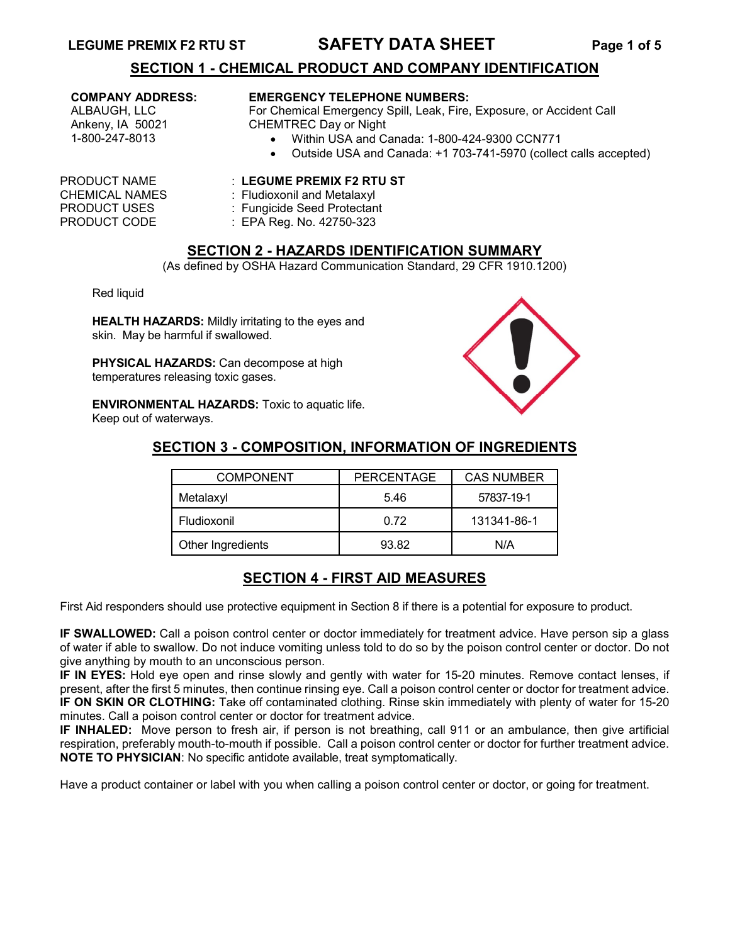## **LEGUME PREMIX F2 RTU ST SAFETY DATA SHEET Page 1 of 5**

## **SECTION 1 - CHEMICAL PRODUCT AND COMPANY IDENTIFICATION**

#### **COMPANY ADDRESS:**

ALBAUGH, LLC Ankeny, IA 50021 1-800-247-8013

#### **EMERGENCY TELEPHONE NUMBERS:**

For Chemical Emergency Spill, Leak, Fire, Exposure, or Accident Call CHEMTREC Day or Night

- Within USA and Canada: 1-800-424-9300 CCN771
- Outside USA and Canada: +1 703-741-5970 (collect calls accepted)

### PRODUCT NAME : **LEGUME PREMIX F2 RTU ST**

- CHEMICAL NAMES : Fludioxonil and Metalaxyl
	-
	- : EPA Reg. No. 42750-323

## **SECTION 2 - HAZARDS IDENTIFICATION SUMMARY**

(As defined by OSHA Hazard Communication Standard, 29 CFR 1910.1200)

Red liquid

**HEALTH HAZARDS:** Mildly irritating to the eyes and skin. May be harmful if swallowed.

**PHYSICAL HAZARDS:** Can decompose at high temperatures releasing toxic gases.

**ENVIRONMENTAL HAZARDS:** Toxic to aquatic life. Keep out of waterways.



# **SECTION 3 - COMPOSITION, INFORMATION OF INGREDIENTS**

| <b>COMPONENT</b>  | <b>PERCENTAGE</b> | <b>CAS NUMBER</b> |
|-------------------|-------------------|-------------------|
| Metalaxyl         | 5.46              | 57837-19-1        |
| Fludioxonil       | 0.72              | 131341-86-1       |
| Other Ingredients | 93.82             | N/A               |

# **SECTION 4 - FIRST AID MEASURES**

First Aid responders should use protective equipment in Section 8 if there is a potential for exposure to product.

**IF SWALLOWED:** Call a poison control center or doctor immediately for treatment advice. Have person sip a glass of water if able to swallow. Do not induce vomiting unless told to do so by the poison control center or doctor. Do not give anything by mouth to an unconscious person.

**IF IN EYES:** Hold eye open and rinse slowly and gently with water for 15-20 minutes. Remove contact lenses, if present, after the first 5 minutes, then continue rinsing eye. Call a poison control center or doctor for treatment advice. **IF ON SKIN OR CLOTHING:** Take off contaminated clothing. Rinse skin immediately with plenty of water for 15-20 minutes. Call a poison control center or doctor for treatment advice.

**IF INHALED:** Move person to fresh air, if person is not breathing, call 911 or an ambulance, then give artificial respiration, preferably mouth-to-mouth if possible. Call a poison control center or doctor for further treatment advice. **NOTE TO PHYSICIAN**: No specific antidote available, treat symptomatically.

Have a product container or label with you when calling a poison control center or doctor, or going for treatment.

PRODUCT USES : Fungicide Seed Protectant<br>
PRODUCT CODE : EPA Reg. No. 42750-323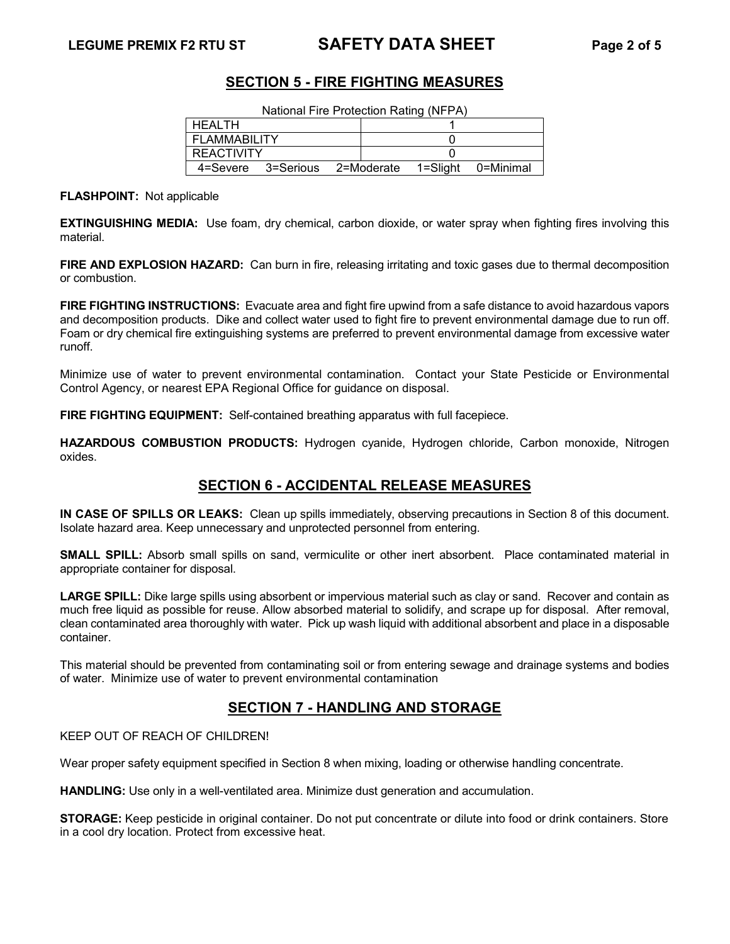# **LEGUME PREMIX F2 RTU ST SAFETY DATA SHEET Page 2 of 5**

## **SECTION 5 - FIRE FIGHTING MEASURES**

| National Fire Protection Rating (NFPA) |                                                  |  |  |  |  |
|----------------------------------------|--------------------------------------------------|--|--|--|--|
| l HEALTH                               |                                                  |  |  |  |  |
| FLAMMABILITY                           |                                                  |  |  |  |  |
| <b>REACTIVITY</b>                      |                                                  |  |  |  |  |
|                                        | 4=Severe 3=Serious 2=Moderate 1=Slight 0=Minimal |  |  |  |  |

**FLASHPOINT:** Not applicable

**EXTINGUISHING MEDIA:** Use foam, dry chemical, carbon dioxide, or water spray when fighting fires involving this material.

**FIRE AND EXPLOSION HAZARD:** Can burn in fire, releasing irritating and toxic gases due to thermal decomposition or combustion.

**FIRE FIGHTING INSTRUCTIONS:** Evacuate area and fight fire upwind from a safe distance to avoid hazardous vapors and decomposition products. Dike and collect water used to fight fire to prevent environmental damage due to run off. Foam or dry chemical fire extinguishing systems are preferred to prevent environmental damage from excessive water runoff.

Minimize use of water to prevent environmental contamination. Contact your State Pesticide or Environmental Control Agency, or nearest EPA Regional Office for guidance on disposal.

**FIRE FIGHTING EQUIPMENT:** Self-contained breathing apparatus with full facepiece.

**HAZARDOUS COMBUSTION PRODUCTS:** Hydrogen cyanide, Hydrogen chloride, Carbon monoxide, Nitrogen oxides.

# **SECTION 6 - ACCIDENTAL RELEASE MEASURES**

**IN CASE OF SPILLS OR LEAKS:** Clean up spills immediately, observing precautions in Section 8 of this document. Isolate hazard area. Keep unnecessary and unprotected personnel from entering.

**SMALL SPILL:** Absorb small spills on sand, vermiculite or other inert absorbent. Place contaminated material in appropriate container for disposal.

**LARGE SPILL:** Dike large spills using absorbent or impervious material such as clay or sand. Recover and contain as much free liquid as possible for reuse. Allow absorbed material to solidify, and scrape up for disposal. After removal, clean contaminated area thoroughly with water. Pick up wash liquid with additional absorbent and place in a disposable container.

This material should be prevented from contaminating soil or from entering sewage and drainage systems and bodies of water. Minimize use of water to prevent environmental contamination

## **SECTION 7 - HANDLING AND STORAGE**

KEEP OUT OF REACH OF CHILDREN!

Wear proper safety equipment specified in Section 8 when mixing, loading or otherwise handling concentrate.

**HANDLING:** Use only in a well-ventilated area. Minimize dust generation and accumulation.

**STORAGE:** Keep pesticide in original container. Do not put concentrate or dilute into food or drink containers. Store in a cool dry location. Protect from excessive heat.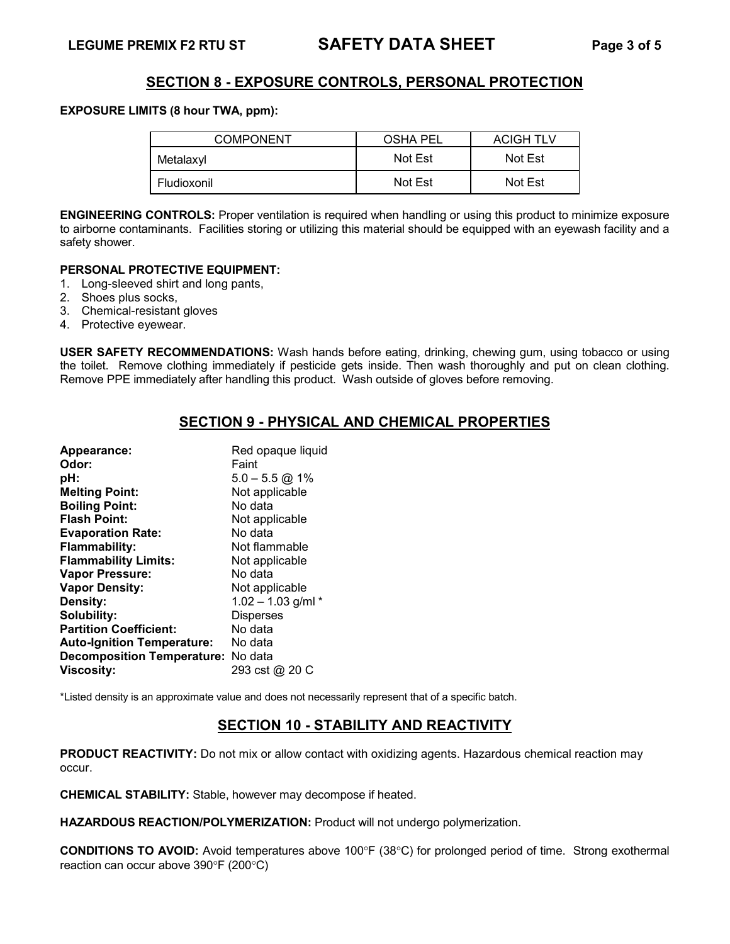## **SECTION 8 - EXPOSURE CONTROLS, PERSONAL PROTECTION**

#### **EXPOSURE LIMITS (8 hour TWA, ppm):**

| <b>COMPONENT</b> | OSHA PEL | <b>ACIGH TLV</b> |  |
|------------------|----------|------------------|--|
| Metalaxyl        | Not Est  | Not Est          |  |
| Fludioxonil      | Not Est  | Not Est          |  |

**ENGINEERING CONTROLS:** Proper ventilation is required when handling or using this product to minimize exposure to airborne contaminants. Facilities storing or utilizing this material should be equipped with an eyewash facility and a safety shower.

#### **PERSONAL PROTECTIVE EQUIPMENT:**

- 1. Long-sleeved shirt and long pants,
- 2. Shoes plus socks,
- 3. Chemical-resistant gloves
- 4. Protective eyewear.

**USER SAFETY RECOMMENDATIONS:** Wash hands before eating, drinking, chewing gum, using tobacco or using the toilet. Remove clothing immediately if pesticide gets inside. Then wash thoroughly and put on clean clothing. Remove PPE immediately after handling this product. Wash outside of gloves before removing.

# **SECTION 9 - PHYSICAL AND CHEMICAL PROPERTIES**

| Appearance:                        | Red opaque liquid    |
|------------------------------------|----------------------|
| Odor:                              | Faint                |
| pH:                                | $5.0 - 5.5$ @ 1%     |
| <b>Melting Point:</b>              | Not applicable       |
| <b>Boiling Point:</b>              | No data              |
| <b>Flash Point:</b>                | Not applicable       |
| <b>Evaporation Rate:</b>           | No data              |
| <b>Flammability:</b>               | Not flammable        |
| <b>Flammability Limits:</b>        | Not applicable       |
| <b>Vapor Pressure:</b>             | No data              |
| <b>Vapor Density:</b>              | Not applicable       |
| Density:                           | $1.02 - 1.03$ g/ml * |
| Solubility:                        | <b>Disperses</b>     |
| <b>Partition Coefficient:</b>      | No data              |
| <b>Auto-Ignition Temperature:</b>  | No data              |
| Decomposition Temperature: No data |                      |
| <b>Viscosity:</b>                  | 293 cst @ 20 C       |

\*Listed density is an approximate value and does not necessarily represent that of a specific batch.

# **SECTION 10 - STABILITY AND REACTIVITY**

**PRODUCT REACTIVITY:** Do not mix or allow contact with oxidizing agents. Hazardous chemical reaction may occur.

**CHEMICAL STABILITY:** Stable, however may decompose if heated.

**HAZARDOUS REACTION/POLYMERIZATION:** Product will not undergo polymerization.

**CONDITIONS TO AVOID:** Avoid temperatures above 100°F (38°C) for prolonged period of time. Strong exothermal reaction can occur above 390°F (200°C)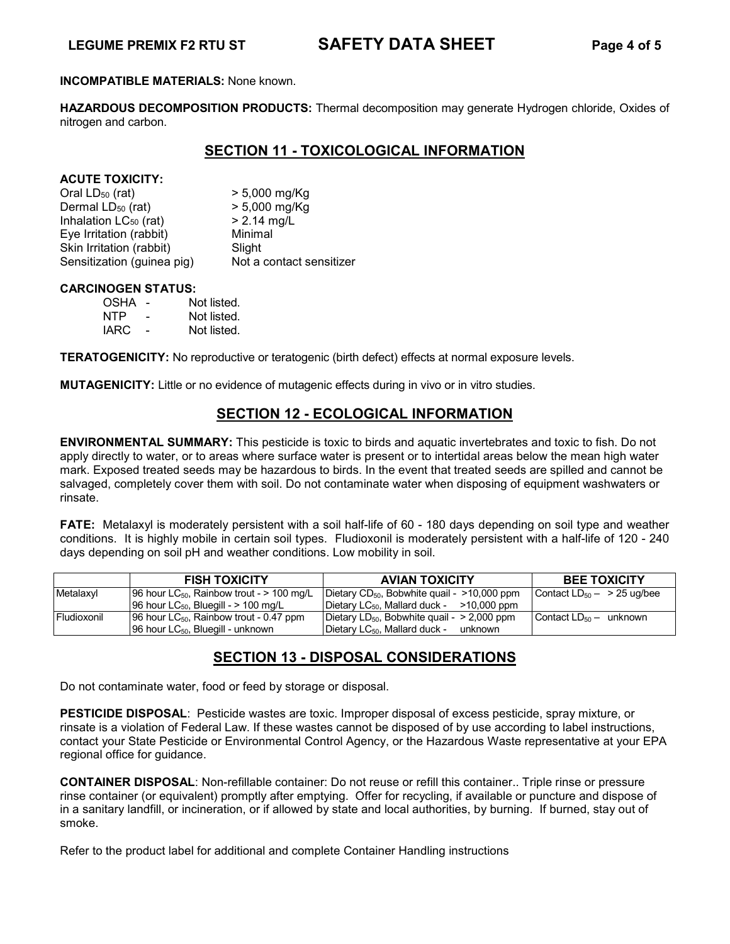# **LEGUME PREMIX F2 RTU ST SAFETY DATA SHEET Page 4 of 5**

#### **INCOMPATIBLE MATERIALS:** None known.

**HAZARDOUS DECOMPOSITION PRODUCTS:** Thermal decomposition may generate Hydrogen chloride, Oxides of nitrogen and carbon.

## **SECTION 11 - TOXICOLOGICAL INFORMATION**

#### **ACUTE TOXICITY:**

| Oral $LD_{50}$ (rat)              | $> 5,000$ mg/Kg          |
|-----------------------------------|--------------------------|
| Dermal LD <sub>50</sub> (rat)     | $> 5,000$ mg/Kg          |
| Inhalation LC <sub>50</sub> (rat) | $> 2.14$ mg/L            |
| Eye Irritation (rabbit)           | Minimal                  |
| Skin Irritation (rabbit)          | Slight                   |
| Sensitization (guinea pig)        | Not a contact sensitizer |

#### **CARCINOGEN STATUS:**

| OSHA |   | Not listed. |
|------|---|-------------|
| NTP  | - | Not listed. |
| IARC | - | Not listed. |

**TERATOGENICITY:** No reproductive or teratogenic (birth defect) effects at normal exposure levels.

**MUTAGENICITY:** Little or no evidence of mutagenic effects during in vivo or in vitro studies.

## **SECTION 12 - ECOLOGICAL INFORMATION**

**ENVIRONMENTAL SUMMARY:** This pesticide is toxic to birds and aquatic invertebrates and toxic to fish. Do not apply directly to water, or to areas where surface water is present or to intertidal areas below the mean high water mark. Exposed treated seeds may be hazardous to birds. In the event that treated seeds are spilled and cannot be salvaged, completely cover them with soil. Do not contaminate water when disposing of equipment washwaters or rinsate.

**FATE:** Metalaxyl is moderately persistent with a soil half-life of 60 - 180 days depending on soil type and weather conditions. It is highly mobile in certain soil types. Fludioxonil is moderately persistent with a half-life of 120 - 240 days depending on soil pH and weather conditions. Low mobility in soil.

|             | <b>FISH TOXICITY</b>                                    | <b>AVIAN TOXICITY</b>                                       | <b>BEE TOXICITY</b>                |
|-------------|---------------------------------------------------------|-------------------------------------------------------------|------------------------------------|
| Metalaxyl   | 96 hour LC <sub>50</sub> , Rainbow trout - $> 100$ mg/L | Dietary $CD_{50}$ , Bobwhite quail - $>10,000$ ppm          | Contact $LD_{50} - \geq 25$ ug/bee |
|             | $196$ hour LC <sub>50</sub> , Bluegill - $> 100$ mg/L   | Dietary LC <sub>50</sub> , Mallard duck - $\geq$ 10,000 ppm |                                    |
| Fludioxonil | [96 hour $LC_{50}$ , Rainbow trout - 0.47 ppm           | Dietary LD <sub>50</sub> , Bobwhite quail - $>$ 2,000 ppm   | Contact $LD_{50}$ – unknown        |
|             | 96 hour $LC_{50}$ , Bluegill - unknown                  | Dietary LC <sub>50</sub> , Mallard duck - unknown           |                                    |

# **SECTION 13 - DISPOSAL CONSIDERATIONS**

Do not contaminate water, food or feed by storage or disposal.

**PESTICIDE DISPOSAL**: Pesticide wastes are toxic. Improper disposal of excess pesticide, spray mixture, or rinsate is a violation of Federal Law. If these wastes cannot be disposed of by use according to label instructions, contact your State Pesticide or Environmental Control Agency, or the Hazardous Waste representative at your EPA regional office for guidance.

**CONTAINER DISPOSAL**: Non-refillable container: Do not reuse or refill this container.. Triple rinse or pressure rinse container (or equivalent) promptly after emptying. Offer for recycling, if available or puncture and dispose of in a sanitary landfill, or incineration, or if allowed by state and local authorities, by burning. If burned, stay out of smoke.

Refer to the product label for additional and complete Container Handling instructions